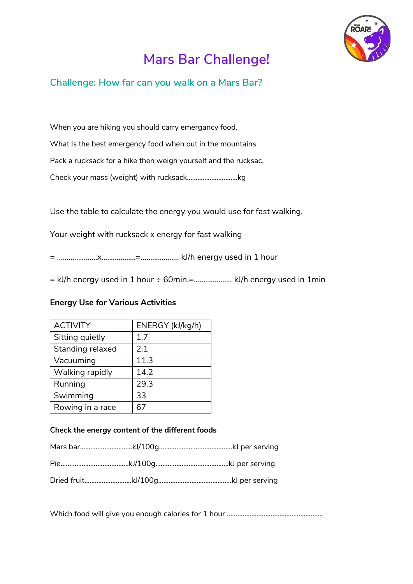

# **Mars Bar Challenge!**

## **Challenge: How far can you walk on a Mars Bar?**

When you are hiking you should carry emergancy food. What is the best emergency food when out in the mountains Pack a rucksack for a hike then weigh yourself and the rucksac. Check your mass (weight) with rucksack.............................kg

Use the table to calculate the energy you would use for fast walking.

Your weight with rucksack x energy for fast walking

= .....................x..................=.................... kJ/h energy used in 1 hour

= kJ/h energy used in 1 hour ÷ 60min.=.................... kJ/h energy used in 1min

### **Energy Use for Various Activities**

| <b>ACTIVITY</b>  | ENERGY (kJ/kg/h) |
|------------------|------------------|
| Sitting quietly  | 1.7              |
| Standing relaxed | 2.1              |
| Vacuuming        | 11.3             |
| Walking rapidly  | 14.2             |
| Running          | 29.3             |
| Swimming         | 33               |
| Rowing in a race |                  |

### **Check the energy content of the different foods**

Which food will give you enough calories for 1 hour .......................................................